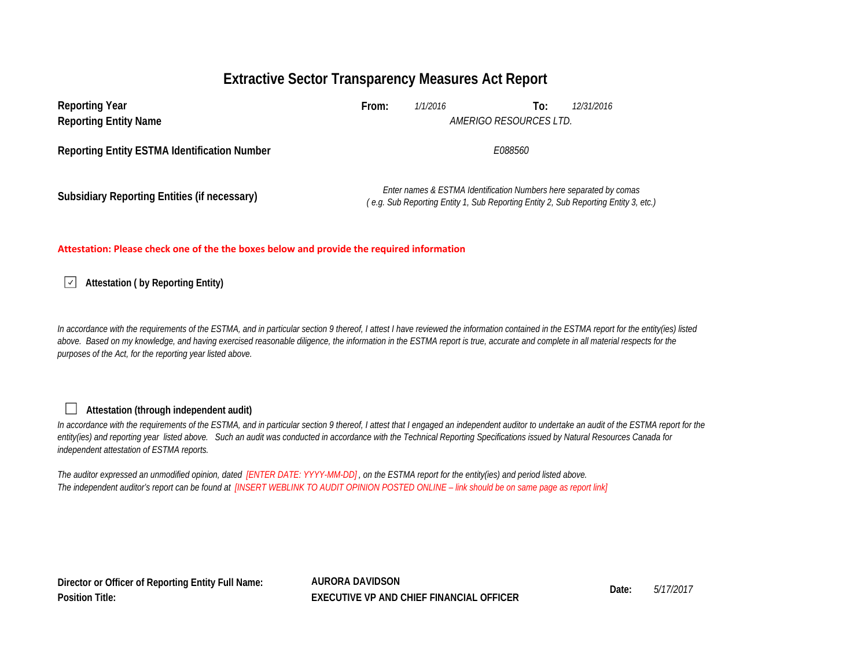## **Extractive Sector Transparency Measures Act Report**

| <b>Reporting Year</b><br><b>Reporting Entity Name</b> | From:   | 1/1/2016<br>AMERIGO RESOURCES LTD.                                                                                                                        | To: | 12/31/2016 |
|-------------------------------------------------------|---------|-----------------------------------------------------------------------------------------------------------------------------------------------------------|-----|------------|
| <b>Reporting Entity ESTMA Identification Number</b>   | E088560 |                                                                                                                                                           |     |            |
| <b>Subsidiary Reporting Entities (if necessary)</b>   |         | Enter names & ESTMA Identification Numbers here separated by comas<br>(e.g. Sub Reporting Entity 1, Sub Reporting Entity 2, Sub Reporting Entity 3, etc., |     |            |

#### **Attestation: Please check one of the the boxes below and provide the required information**

**Attestation ( by Reporting Entity)**

In accordance with the requirements of the ESTMA, and in particular section 9 thereof, I attest I have reviewed the information contained in the ESTMA report for the entity(ies) listed above. Based on my knowledge, and having exercised reasonable diligence, the information in the ESTMA report is true, accurate and complete in all material respects for the *purposes of the Act, for the reporting year listed above.* 

### **Attestation (through independent audit)**

П

In accordance with the requirements of the ESTMA, and in particular section 9 thereof, I attest that I engaged an independent auditor to undertake an audit of the ESTMA report for the *entity(ies) and reporting year listed above. Such an audit was conducted in accordance with the Technical Reporting Specifications issued by Natural Resources Canada for independent attestation of ESTMA reports.* 

*The auditor expressed an unmodified opinion, dated [ENTER DATE: YYYY-MM-DD] , on the ESTMA report for the entity(ies) and period listed above. The independent auditor's report can be found at [INSERT WEBLINK TO AUDIT OPINION POSTED ONLINE – link should be on same page as report link]* 

**Director or Officer of Reporting Entity Full Name: Position Title:**

**AURORA DAVIDSON Date:** *5/17/2017* **EXECUTIVE VP AND CHIEF FINANCIAL OFFICER**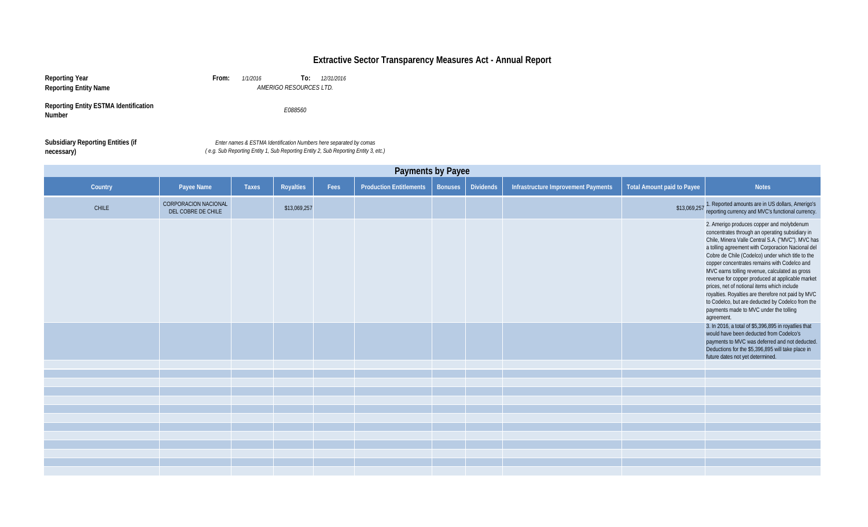# **Extractive Sector Transparency Measures Act - Annual Report**

| Reporting Year<br><b>Reporting Entity Name</b>                | 1/1/2016<br>12/31/2016<br>From:<br>To:<br>AMERIGO RESOURCES LTD.                                                                                          |
|---------------------------------------------------------------|-----------------------------------------------------------------------------------------------------------------------------------------------------------|
| <b>Reporting Entity ESTMA Identification</b><br><b>Number</b> | E088560                                                                                                                                                   |
| <b>Subsidiary Reporting Entities (if</b><br>necessary)        | Enter names & ESTMA Identification Numbers here separated by comas<br>(e.g. Sub Reporting Entity 1, Sub Reporting Entity 2, Sub Reporting Entity 3, etc.) |

| Payments by Payee |                                                   |              |              |      |                                |                |                  |                                     |                                   |                                                                                                                                                                                                                                                                                                                                                                                                                                                                                                                                                                                                                                                                                                                                                                                                                                              |
|-------------------|---------------------------------------------------|--------------|--------------|------|--------------------------------|----------------|------------------|-------------------------------------|-----------------------------------|----------------------------------------------------------------------------------------------------------------------------------------------------------------------------------------------------------------------------------------------------------------------------------------------------------------------------------------------------------------------------------------------------------------------------------------------------------------------------------------------------------------------------------------------------------------------------------------------------------------------------------------------------------------------------------------------------------------------------------------------------------------------------------------------------------------------------------------------|
| Country           | Payee Name                                        | <b>Taxes</b> | Royalties    | Fees | <b>Production Entitlements</b> | <b>Bonuses</b> | <b>Dividends</b> | Infrastructure Improvement Payments | <b>Total Amount paid to Payee</b> | <b>Notes</b>                                                                                                                                                                                                                                                                                                                                                                                                                                                                                                                                                                                                                                                                                                                                                                                                                                 |
| CHILE             | <b>CORPORACION NACIONAL</b><br>DEL COBRE DE CHILE |              | \$13,069,257 |      |                                |                |                  |                                     | \$13,069,257                      | 1. Reported amounts are in US dollars, Amerigo's<br>reporting currency and MVC's functional currency.                                                                                                                                                                                                                                                                                                                                                                                                                                                                                                                                                                                                                                                                                                                                        |
|                   |                                                   |              |              |      |                                |                |                  |                                     |                                   | 2. Amerigo produces copper and molybdenum<br>concentrates through an operating subsidiary in<br>Chile, Minera Valle Central S.A. ("MVC"). MVC has<br>a tolling agreement with Corporacion Nacional del<br>Cobre de Chile (Codelco) under which title to the<br>copper concentrates remains with Codelco and<br>MVC earns tolling revenue, calculated as gross<br>revenue for copper produced at applicable market<br>prices, net of notional items which include<br>royalties. Royalties are therefore not paid by MVC<br>to Codelco, but are deducted by Codelco from the<br>payments made to MVC under the tolling<br>agreement.<br>3. In 2016, a total of \$5,396,895 in royatlies that<br>would have been deducted from Codelco's<br>payments to MVC was deferred and not deducted.<br>Deductions for the \$5,396,895 will take place in |
|                   |                                                   |              |              |      |                                |                |                  |                                     |                                   | future dates not yet determined.                                                                                                                                                                                                                                                                                                                                                                                                                                                                                                                                                                                                                                                                                                                                                                                                             |
|                   |                                                   |              |              |      |                                |                |                  |                                     |                                   |                                                                                                                                                                                                                                                                                                                                                                                                                                                                                                                                                                                                                                                                                                                                                                                                                                              |
|                   |                                                   |              |              |      |                                |                |                  |                                     |                                   |                                                                                                                                                                                                                                                                                                                                                                                                                                                                                                                                                                                                                                                                                                                                                                                                                                              |
|                   |                                                   |              |              |      |                                |                |                  |                                     |                                   |                                                                                                                                                                                                                                                                                                                                                                                                                                                                                                                                                                                                                                                                                                                                                                                                                                              |
|                   |                                                   |              |              |      |                                |                |                  |                                     |                                   |                                                                                                                                                                                                                                                                                                                                                                                                                                                                                                                                                                                                                                                                                                                                                                                                                                              |
|                   |                                                   |              |              |      |                                |                |                  |                                     |                                   |                                                                                                                                                                                                                                                                                                                                                                                                                                                                                                                                                                                                                                                                                                                                                                                                                                              |
|                   |                                                   |              |              |      |                                |                |                  |                                     |                                   |                                                                                                                                                                                                                                                                                                                                                                                                                                                                                                                                                                                                                                                                                                                                                                                                                                              |
|                   |                                                   |              |              |      |                                |                |                  |                                     |                                   |                                                                                                                                                                                                                                                                                                                                                                                                                                                                                                                                                                                                                                                                                                                                                                                                                                              |
|                   |                                                   |              |              |      |                                |                |                  |                                     |                                   |                                                                                                                                                                                                                                                                                                                                                                                                                                                                                                                                                                                                                                                                                                                                                                                                                                              |
|                   |                                                   |              |              |      |                                |                |                  |                                     |                                   |                                                                                                                                                                                                                                                                                                                                                                                                                                                                                                                                                                                                                                                                                                                                                                                                                                              |
|                   |                                                   |              |              |      |                                |                |                  |                                     |                                   |                                                                                                                                                                                                                                                                                                                                                                                                                                                                                                                                                                                                                                                                                                                                                                                                                                              |